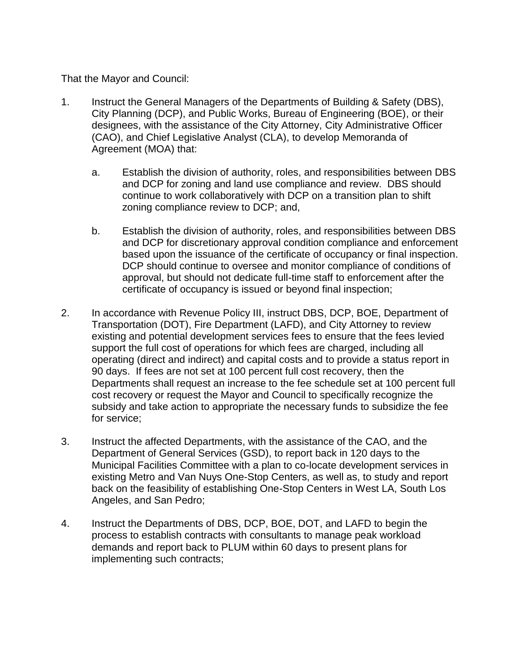That the Mayor and Council:

- 1. Instruct the General Managers of the Departments of Building & Safety (DBS), City Planning (DCP), and Public Works, Bureau of Engineering (BOE), or their designees, with the assistance of the City Attorney, City Administrative Officer (CAO), and Chief Legislative Analyst (CLA), to develop Memoranda of Agreement (MOA) that:
	- a. Establish the division of authority, roles, and responsibilities between DBS and DCP for zoning and land use compliance and review. DBS should continue to work collaboratively with DCP on a transition plan to shift zoning compliance review to DCP; and,
	- b. Establish the division of authority, roles, and responsibilities between DBS and DCP for discretionary approval condition compliance and enforcement based upon the issuance of the certificate of occupancy or final inspection. DCP should continue to oversee and monitor compliance of conditions of approval, but should not dedicate full-time staff to enforcement after the certificate of occupancy is issued or beyond final inspection;
- 2. In accordance with Revenue Policy III, instruct DBS, DCP, BOE, Department of Transportation (DOT), Fire Department (LAFD), and City Attorney to review existing and potential development services fees to ensure that the fees levied support the full cost of operations for which fees are charged, including all operating (direct and indirect) and capital costs and to provide a status report in 90 days. If fees are not set at 100 percent full cost recovery, then the Departments shall request an increase to the fee schedule set at 100 percent full cost recovery or request the Mayor and Council to specifically recognize the subsidy and take action to appropriate the necessary funds to subsidize the fee for service;
- 3. Instruct the affected Departments, with the assistance of the CAO, and the Department of General Services (GSD), to report back in 120 days to the Municipal Facilities Committee with a plan to co-locate development services in existing Metro and Van Nuys One-Stop Centers, as well as, to study and report back on the feasibility of establishing One-Stop Centers in West LA, South Los Angeles, and San Pedro;
- 4. Instruct the Departments of DBS, DCP, BOE, DOT, and LAFD to begin the process to establish contracts with consultants to manage peak workload demands and report back to PLUM within 60 days to present plans for implementing such contracts;